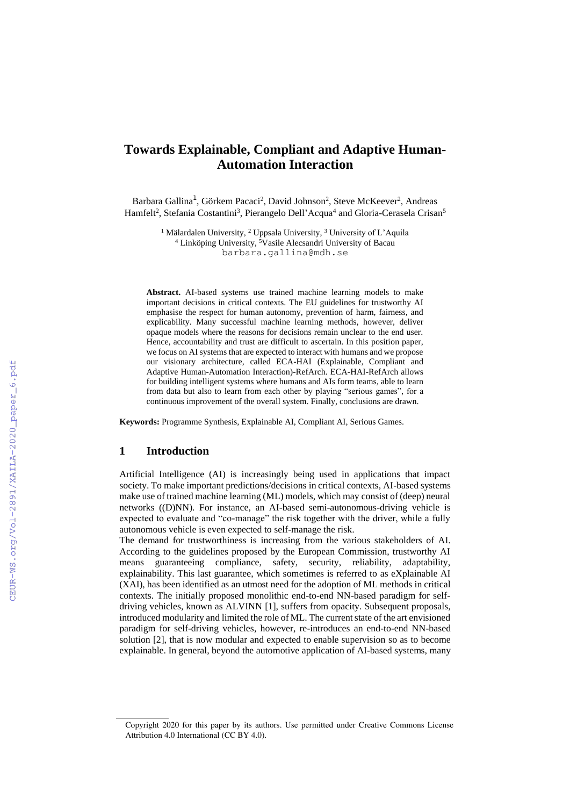# **Towards Explainable, Compliant and Adaptive Human-Automation Interaction**

Barbara Gallina<sup>1</sup>, Görkem Pacaci<sup>2</sup>, David Johnson<sup>2</sup>, Steve McKeever<sup>2</sup>, Andreas Hamfelt<sup>2</sup>, Stefania Costantini<sup>3</sup>, Pierangelo Dell'Acqua<sup>4</sup> and Gloria-Cerasela Crisan<sup>5</sup>

> <sup>1</sup> Mälardalen University, <sup>2</sup> Uppsala University, <sup>3</sup> University of L'Aquila <sup>4</sup> Linköping University, <sup>5</sup>Vasile Alecsandri University of Bacau barbara.gallina@mdh.se

**Abstract.** AI-based systems use trained machine learning models to make important decisions in critical contexts. The EU guidelines for trustworthy AI emphasise the respect for human autonomy, prevention of harm, fairness, and explicability. Many successful machine learning methods, however, deliver opaque models where the reasons for decisions remain unclear to the end user. Hence, accountability and trust are difficult to ascertain. In this position paper, we focus on AI systems that are expected to interact with humans and we propose our visionary architecture, called ECA-HAI (Explainable, Compliant and Adaptive Human-Automation Interaction)-RefArch. ECA-HAI-RefArch allows for building intelligent systems where humans and AIs form teams, able to learn from data but also to learn from each other by playing "serious games", for a continuous improvement of the overall system. Finally, conclusions are drawn.

**Keywords:** Programme Synthesis, Explainable AI, Compliant AI, Serious Games.

### **1 Introduction**

Artificial Intelligence (AI) is increasingly being used in applications that impact society. To make important predictions/decisions in critical contexts, AI-based systems make use of trained machine learning (ML) models, which may consist of (deep) neural networks ((D)NN). For instance, an AI-based semi-autonomous-driving vehicle is expected to evaluate and "co-manage" the risk together with the driver, while a fully autonomous vehicle is even expected to self-manage the risk.

The demand for trustworthiness is increasing from the various stakeholders of AI. According to the guidelines proposed by the European Commission, trustworthy AI means guaranteeing compliance, safety, security, reliability, adaptability, explainability. This last guarantee, which sometimes is referred to as eXplainable AI (XAI), has been identified as an utmost need for the adoption of ML methods in critical contexts. The initially proposed monolithic end-to-end NN-based paradigm for selfdriving vehicles, known as ALVINN [\[1\],](#page--1-0) suffers from opacity. Subsequent proposals, introduced modularity and limited the role of ML. The current state of the art envisioned paradigm for self-driving vehicles, however, re-introduces an end-to-end NN-based solution [\[2\],](#page--1-1) that is now modular and expected to enable supervision so as to become explainable. In general, beyond the automotive application of AI-based systems, many

Copyright 2020 for this paper by its authors. Use permitted under Creative Commons License Attribution 4.0 International (CC BY 4.0).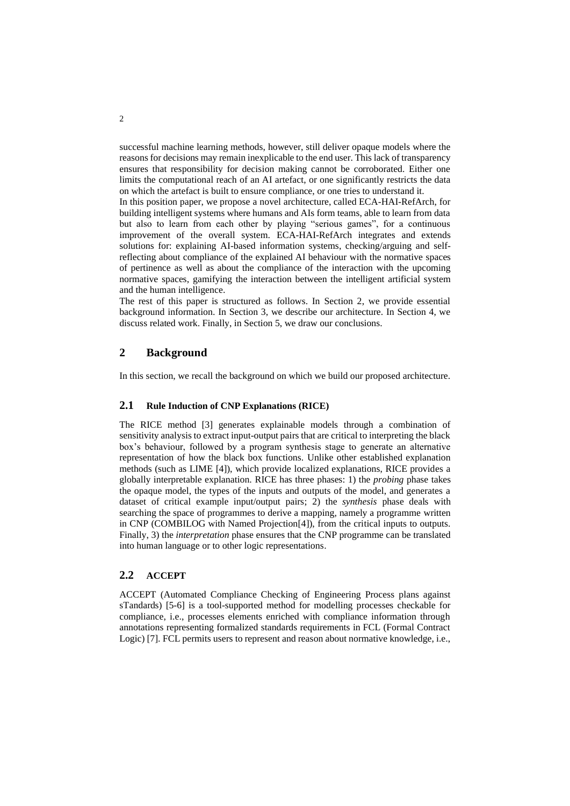successful machine learning methods, however, still deliver opaque models where the reasons for decisions may remain inexplicable to the end user. This lack of transparency ensures that responsibility for decision making cannot be corroborated. Either one limits the computational reach of an AI artefact, or one significantly restricts the data on which the artefact is built to ensure compliance, or one tries to understand it.

In this position paper, we propose a novel architecture, called ECA-HAI-RefArch, for building intelligent systems where humans and AIs form teams, able to learn from data but also to learn from each other by playing "serious games", for a continuous improvement of the overall system. ECA-HAI-RefArch integrates and extends solutions for: explaining AI-based information systems, checking/arguing and selfreflecting about compliance of the explained AI behaviour with the normative spaces of pertinence as well as about the compliance of the interaction with the upcoming normative spaces, gamifying the interaction between the intelligent artificial system and the human intelligence.

The rest of this paper is structured as follows. In Section 2, we provide essential background information. In Section 3, we describe our architecture. In Section 4, we discuss related work. Finally, in Section 5, we draw our conclusions.

### **2 Background**

In this section, we recall the background on which we build our proposed architecture.

#### **2.1 Rule Induction of CNP Explanations (RICE)**

The RICE method [\[3\]](#page-4-0) generates explainable models through a combination of sensitivity analysis to extract input-output pairs that are critical to interpreting the black box's behaviour, followed by a program synthesis stage to generate an alternative representation of how the black box functions. Unlike other established explanation methods (such as LIME [\[4\]\)](#page-4-1), which provide localized explanations, RICE provides a globally interpretable explanation. RICE has three phases: 1) the *probing* phase takes the opaque model, the types of the inputs and outputs of the model, and generates a dataset of critical example input/output pairs; 2) the *synthesis* phase deals with searching the space of programmes to derive a mapping, namely a programme written in CNP (COMBILOG with Named Projectio[n\[4\]\)](#page-4-1), from the critical inputs to outputs. Finally, 3) the *interpretation* phase ensures that the CNP programme can be translated into human language or to other logic representations.

#### **2.2 ACCEPT**

ACCEPT (Automated Compliance Checking of Engineering Process plans against sTandards) [5-6] is a tool-supported method for modelling processes checkable for compliance, i.e., processes elements enriched with compliance information through annotations representing formalized standards requirements in FCL (Formal Contract Logic[\) \[7\].](#page-5-0) FCL permits users to represent and reason about normative knowledge, i.e.,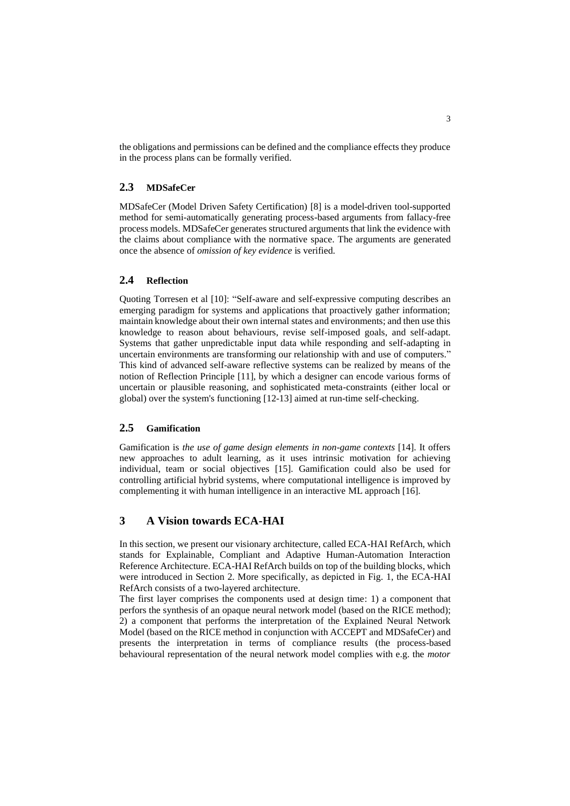the obligations and permissions can be defined and the compliance effects they produce in the process plans can be formally verified.

### **2.3 MDSafeCer**

MDSafeCer (Model Driven Safety Certification) [\[8\]](#page-5-1) is a model-driven tool-supported method for semi-automatically generating process-based arguments from fallacy-free process models. MDSafeCer generates structured arguments that link the evidence with the claims about compliance with the normative space. The arguments are generated once the absence of *omission of key evidence* is verified.

#### **2.4 Reflection**

Quoting Torresen et al [\[10\]:](#page-5-2) "Self-aware and self-expressive computing describes an emerging paradigm for systems and applications that proactively gather information; maintain knowledge about their own internal states and environments; and then use this knowledge to reason about behaviours, revise self-imposed goals, and self-adapt. Systems that gather unpredictable input data while responding and self-adapting in uncertain environments are transforming our relationship with and use of computers." This kind of advanced self-aware reflective systems can be realized by means of the notion of Reflection Principle [\[11\],](#page-5-3) by which a designer can encode various forms of uncertain or plausible reasoning, and sophisticated meta-constraints (either local or global) over the system's functioning [12-13] aimed at run-time self-checking.

#### **2.5 Gamification**

Gamification is *the use of game design elements in non-game contexts* [\[14\].](#page-5-4) It offers new approaches to adult learning, as it uses intrinsic motivation for achieving individual, team or social objectives [\[15\].](#page-5-5) Gamification could also be used for controlling artificial hybrid systems, where computational intelligence is improved by complementing it with human intelligence in an interactive ML approach [\[16\].](#page-5-6)

## **3 A Vision towards ECA-HAI**

In this section, we present our visionary architecture, called ECA-HAI RefArch, which stands for Explainable, Compliant and Adaptive Human-Automation Interaction Reference Architecture. ECA-HAI RefArch builds on top of the building blocks, which were introduced in Section 2. More specifically, as depicted in Fig. 1, the ECA-HAI RefArch consists of a two-layered architecture.

The first layer comprises the components used at design time: 1) a component that perfors the synthesis of an opaque neural network model (based on the RICE method); 2) a component that performs the interpretation of the Explained Neural Network Model (based on the RICE method in conjunction with ACCEPT and MDSafeCer) and presents the interpretation in terms of compliance results (the process-based behavioural representation of the neural network model complies with e.g. the *motor*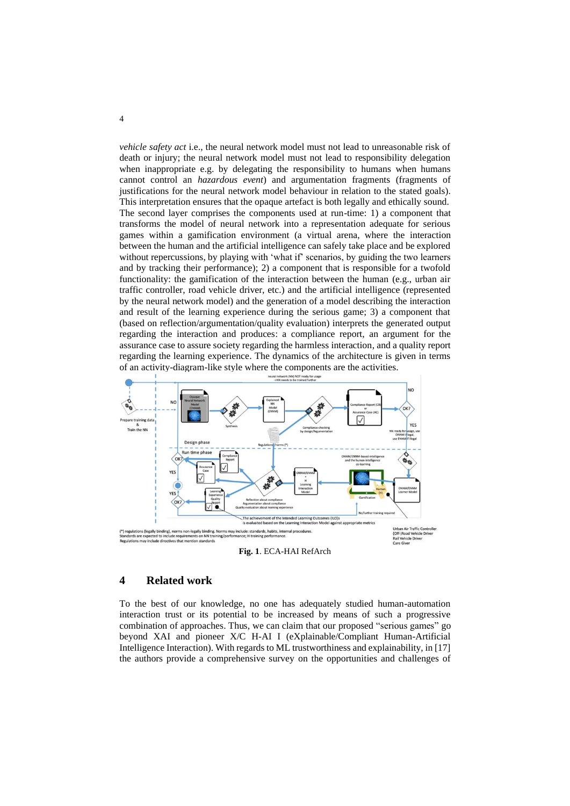*vehicle safety act* i.e., the neural network model must not lead to unreasonable risk of death or injury; the neural network model must not lead to responsibility delegation when inappropriate e.g. by delegating the responsibility to humans when humans cannot control an *hazardous event*) and argumentation fragments (fragments of justifications for the neural network model behaviour in relation to the stated goals). This interpretation ensures that the opaque artefact is both legally and ethically sound. The second layer comprises the components used at run-time: 1) a component that transforms the model of neural network into a representation adequate for serious games within a gamification environment (a virtual arena, where the interaction between the human and the artificial intelligence can safely take place and be explored without repercussions, by playing with 'what if' scenarios, by guiding the two learners and by tracking their performance); 2) a component that is responsible for a twofold functionality: the gamification of the interaction between the human (e.g., urban air traffic controller, road vehicle driver, etc.) and the artificial intelligence (represented by the neural network model) and the generation of a model describing the interaction and result of the learning experience during the serious game; 3) a component that (based on reflection/argumentation/quality evaluation) interprets the generated output regarding the interaction and produces: a compliance report, an argument for the assurance case to assure society regarding the harmless interaction, and a quality report regarding the learning experience. The dynamics of the architecture is given in terms of an activity-diagram-like style where the components are the activities.



**Fig. 1**. ECA-HAI RefArch

#### **4 Related work**

To the best of our knowledge, no one has adequately studied human-automation interaction trust or its potential to be increased by means of such a progressive combination of approaches. Thus, we can claim that our proposed "serious games" go beyond XAI and pioneer X/C H-AI I (eXplainable/Compliant Human-Artificial Intelligence Interaction). With regards to ML trustworthiness and explainability, i[n \[17\]](#page-5-7) the authors provide a comprehensive survey on the opportunities and challenges of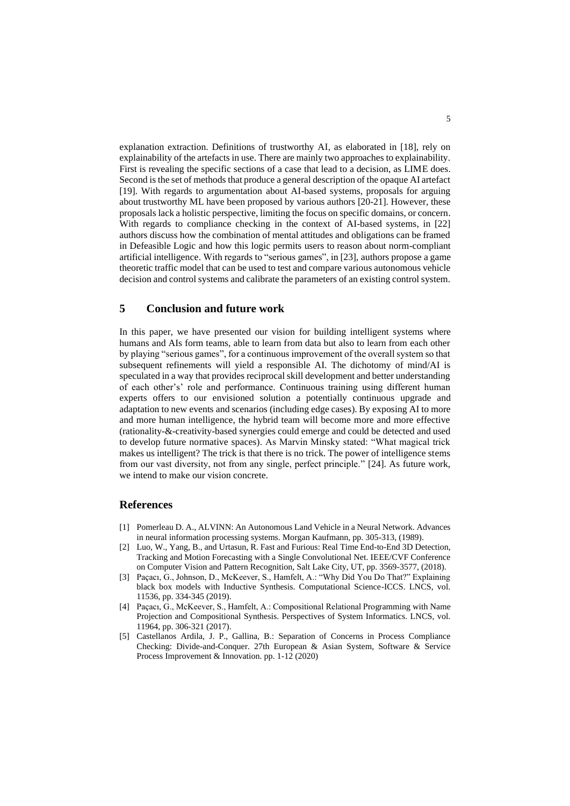explanation extraction. Definitions of trustworthy AI, as elaborated in [\[18\],](#page-5-8) rely on explainability of the artefacts in use. There are mainly two approaches to explainability. First is revealing the specific sections of a case that lead to a decision, as LIME does. Second is the set of methods that produce a general description of the opaque AI artefact [\[19\].](#page-5-9) With regards to argumentation about AI-based systems, proposals for arguing about trustworthy ML have been proposed by various authors [20-21]. However, these proposals lack a holistic perspective, limiting the focus on specific domains, or concern. With regards to compliance checking in the context of AI-based systems, in [\[22\]](#page-5-10) authors discuss how the combination of mental attitudes and obligations can be framed in Defeasible Logic and how this logic permits users to reason about norm-compliant artificial intelligence. With regards to "serious games", i[n \[23\],](#page-5-11) authors propose a game theoretic traffic model that can be used to test and compare various autonomous vehicle decision and control systems and calibrate the parameters of an existing control system.

### **5 Conclusion and future work**

In this paper, we have presented our vision for building intelligent systems where humans and AIs form teams, able to learn from data but also to learn from each other by playing "serious games", for a continuous improvement of the overall system so that subsequent refinements will yield a responsible AI. The dichotomy of mind/AI is speculated in a way that provides reciprocal skill development and better understanding of each other's' role and performance. Continuous training using different human experts offers to our envisioned solution a potentially continuous upgrade and adaptation to new events and scenarios (including edge cases). By exposing AI to more and more human intelligence, the hybrid team will become more and more effective (rationality-&-creativity-based synergies could emerge and could be detected and used to develop future normative spaces). As Marvin Minsky stated: "What magical trick makes us intelligent? The trick is that there is no trick. The power of intelligence stems from our vast diversity, not from any single, perfect principle." [\[24\].](#page-5-12) As future work, we intend to make our vision concrete.

#### **References**

- [1] Pomerleau D. A., ALVINN: An Autonomous Land Vehicle in a Neural Network. Advances in neural information processing systems. Morgan Kaufmann, pp. 305-313, (1989).
- [2] Luo, W., Yang, B., and Urtasun, R. Fast and Furious: Real Time End-to-End 3D Detection, Tracking and Motion Forecasting with a Single Convolutional Net. IEEE/CVF Conference on Computer Vision and Pattern Recognition, Salt Lake City, UT, pp. 3569-3577, (2018).
- <span id="page-4-0"></span>[3] Paçacı, G., Johnson, D., McKeever, S., Hamfelt, A.: "Why Did You Do That?" Explaining black box models with Inductive Synthesis. Computational Science-ICCS. LNCS, vol. 11536, pp. 334-345 (2019).
- <span id="page-4-1"></span>[4] Paçacı, G., McKeever, S., Hamfelt, A.: Compositional Relational Programming with Name Projection and Compositional Synthesis. Perspectives of System Informatics. LNCS, vol. 11964, pp. 306-321 (2017).
- [5] Castellanos Ardila, J. P., Gallina, B.: Separation of Concerns in Process Compliance Checking: Divide-and-Conquer. 27th European & Asian System, Software & Service Process Improvement & Innovation. pp. 1-12 (2020)